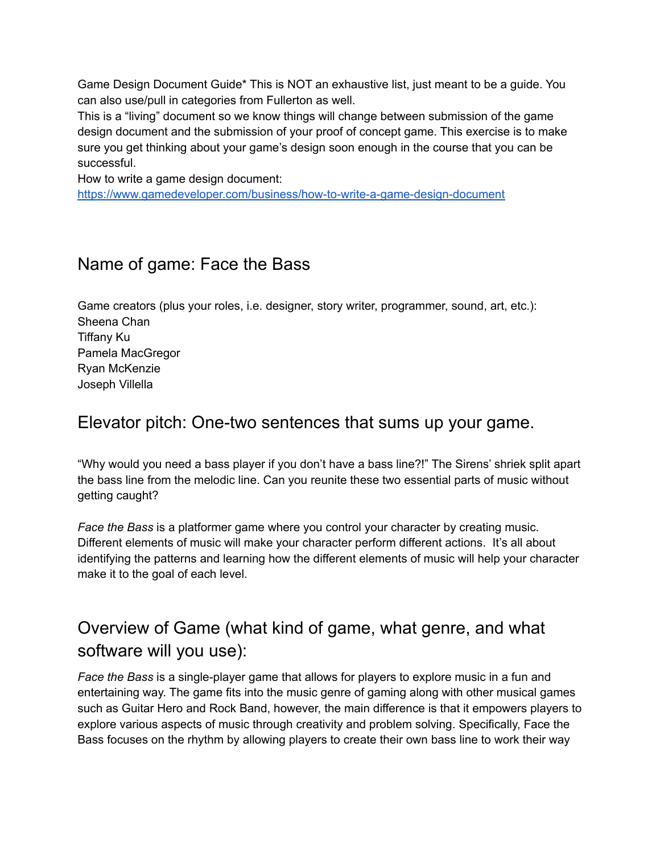Game Design Document Guide\* This is NOT an exhaustive list, just meant to be a guide. You can also use/pull in categories from Fullerton as well.

This is a "living" document so we know things will change between submission of the game design document and the submission of your proof of concept game. This exercise is to make sure you get thinking about your game's design soon enough in the course that you can be successful.

How to write a game design document:

<https://www.gamedeveloper.com/business/how-to-write-a-game-design-document>

## Name of game: Face the Bass

Game creators (plus your roles, i.e. designer, story writer, programmer, sound, art, etc.): Sheena Chan Tiffany Ku Pamela MacGregor Ryan McKenzie Joseph Villella

## Elevator pitch: One-two sentences that sums up your game.

"Why would you need a bass player if you don't have a bass line?!" The Sirens' shriek split apart the bass line from the melodic line. Can you reunite these two essential parts of music without getting caught?

*Face the Bass* is a platformer game where you control your character by creating music. Different elements of music will make your character perform different actions. It's all about identifying the patterns and learning how the different elements of music will help your character make it to the goal of each level.

# Overview of Game (what kind of game, what genre, and what software will you use):

*Face the Bass* is a single-player game that allows for players to explore music in a fun and entertaining way. The game fits into the music genre of gaming along with other musical games such as Guitar Hero and Rock Band, however, the main difference is that it empowers players to explore various aspects of music through creativity and problem solving. Specifically, Face the Bass focuses on the rhythm by allowing players to create their own bass line to work their way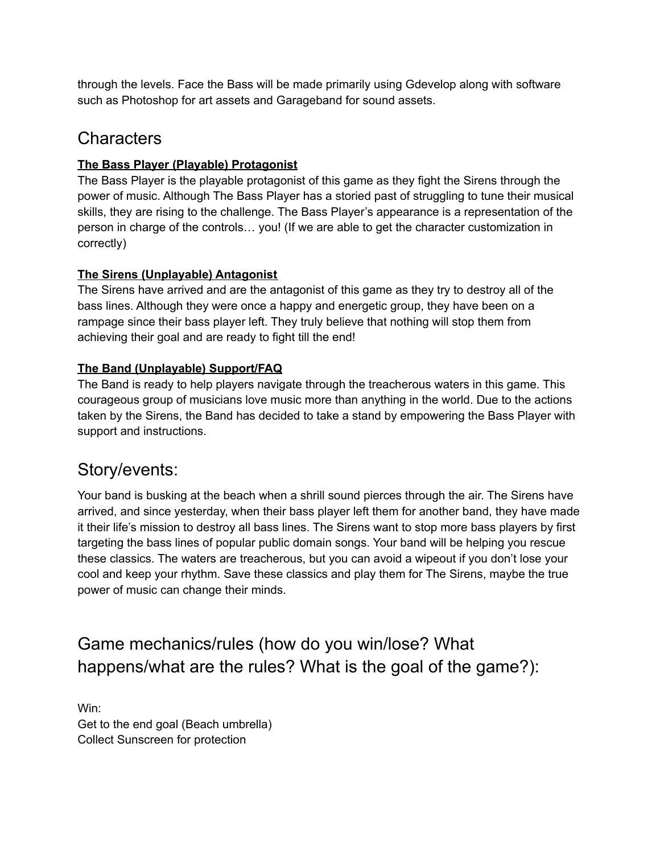through the levels. Face the Bass will be made primarily using Gdevelop along with software such as Photoshop for art assets and Garageband for sound assets.

## **Characters**

#### **The Bass Player (Playable) Protagonist**

The Bass Player is the playable protagonist of this game as they fight the Sirens through the power of music. Although The Bass Player has a storied past of struggling to tune their musical skills, they are rising to the challenge. The Bass Player's appearance is a representation of the person in charge of the controls… you! (If we are able to get the character customization in correctly)

#### **The Sirens (Unplayable) Antagonist**

The Sirens have arrived and are the antagonist of this game as they try to destroy all of the bass lines. Although they were once a happy and energetic group, they have been on a rampage since their bass player left. They truly believe that nothing will stop them from achieving their goal and are ready to fight till the end!

#### **The Band (Unplayable) Support/FAQ**

The Band is ready to help players navigate through the treacherous waters in this game. This courageous group of musicians love music more than anything in the world. Due to the actions taken by the Sirens, the Band has decided to take a stand by empowering the Bass Player with support and instructions.

## Story/events:

Your band is busking at the beach when a shrill sound pierces through the air. The Sirens have arrived, and since yesterday, when their bass player left them for another band, they have made it their life's mission to destroy all bass lines. The Sirens want to stop more bass players by first targeting the bass lines of popular public domain songs. Your band will be helping you rescue these classics. The waters are treacherous, but you can avoid a wipeout if you don't lose your cool and keep your rhythm. Save these classics and play them for The Sirens, maybe the true power of music can change their minds.

Game mechanics/rules (how do you win/lose? What happens/what are the rules? What is the goal of the game?):

Win: Get to the end goal (Beach umbrella) Collect Sunscreen for protection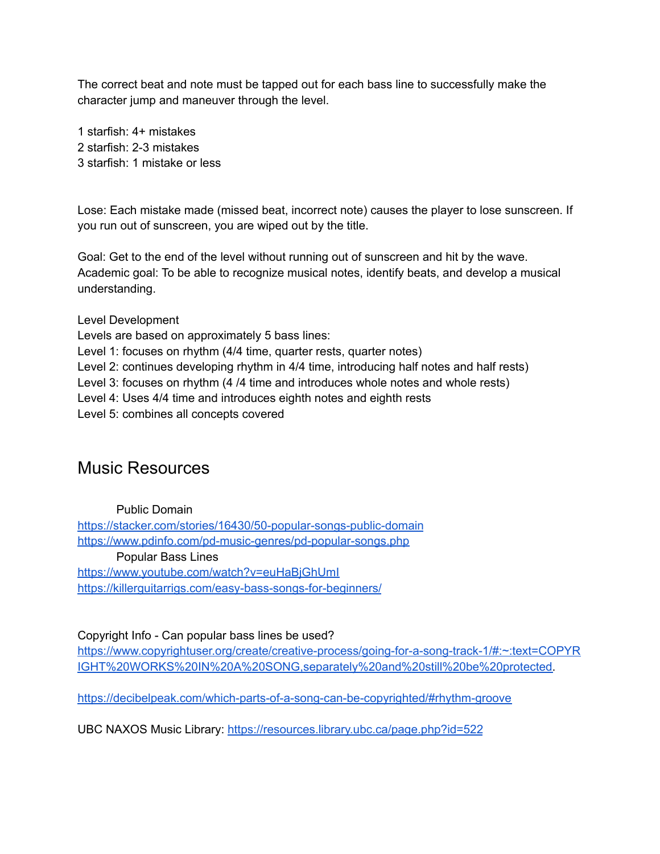The correct beat and note must be tapped out for each bass line to successfully make the character jump and maneuver through the level.

1 starfish: 4+ mistakes 2 starfish: 2-3 mistakes 3 starfish: 1 mistake or less

Lose: Each mistake made (missed beat, incorrect note) causes the player to lose sunscreen. If you run out of sunscreen, you are wiped out by the title.

Goal: Get to the end of the level without running out of sunscreen and hit by the wave. Academic goal: To be able to recognize musical notes, identify beats, and develop a musical understanding.

Level Development Levels are based on approximately 5 bass lines: Level 1: focuses on rhythm (4/4 time, quarter rests, quarter notes) Level 2: continues developing rhythm in 4/4 time, introducing half notes and half rests) Level 3: focuses on rhythm (4 /4 time and introduces whole notes and whole rests) Level 4: Uses 4/4 time and introduces eighth notes and eighth rests Level 5: combines all concepts covered

## Music Resources

Public Domain

<https://stacker.com/stories/16430/50-popular-songs-public-domain> <https://www.pdinfo.com/pd-music-genres/pd-popular-songs.php> Popular Bass Lines <https://www.youtube.com/watch?v=euHaBjGhUmI> <https://killerguitarrigs.com/easy-bass-songs-for-beginners/>

Copyright Info - Can popular bass lines be used?

[https://www.copyrightuser.org/create/creative-process/going-for-a-song-track-1/#:~:text=COPYR](https://www.copyrightuser.org/create/creative-process/going-for-a-song-track-1/#:~:text=COPYRIGHT%20WORKS%20IN%20A%20SONG,separately%20and%20still%20be%20protected) [IGHT%20WORKS%20IN%20A%20SONG,separately%20and%20still%20be%20protected.](https://www.copyrightuser.org/create/creative-process/going-for-a-song-track-1/#:~:text=COPYRIGHT%20WORKS%20IN%20A%20SONG,separately%20and%20still%20be%20protected)

<https://decibelpeak.com/which-parts-of-a-song-can-be-copyrighted/#rhythm-groove>

UBC NAXOS Music Library: <https://resources.library.ubc.ca/page.php?id=522>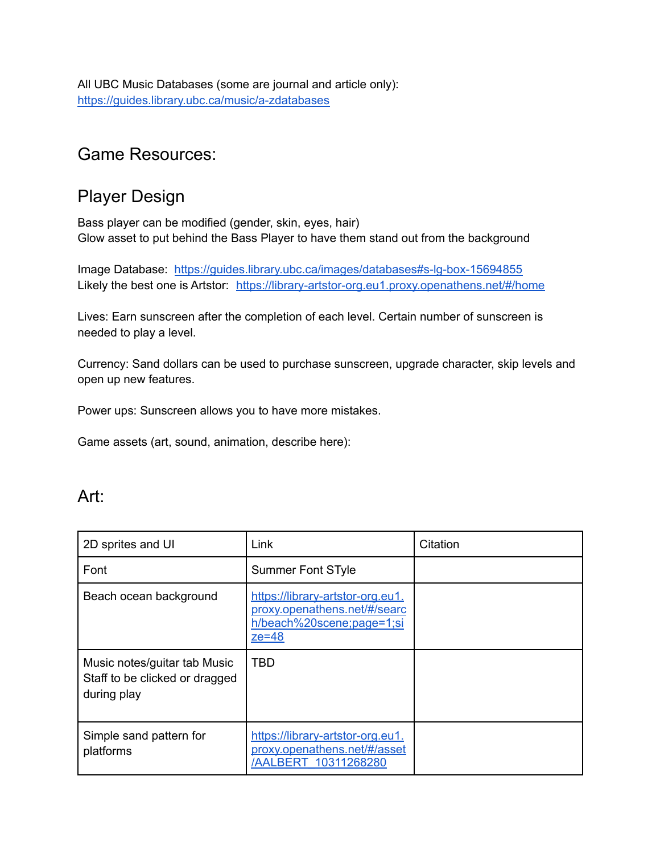All UBC Music Databases (some are journal and article only): <https://guides.library.ubc.ca/music/a-zdatabases>

#### Game Resources:

## Player Design

Bass player can be modified (gender, skin, eyes, hair) Glow asset to put behind the Bass Player to have them stand out from the background

Image Database: <https://guides.library.ubc.ca/images/databases#s-lg-box-15694855> Likely the best one is Artstor: <https://library-artstor-org.eu1.proxy.openathens.net/#/home>

Lives: Earn sunscreen after the completion of each level. Certain number of sunscreen is needed to play a level.

Currency: Sand dollars can be used to purchase sunscreen, upgrade character, skip levels and open up new features.

Power ups: Sunscreen allows you to have more mistakes.

Game assets (art, sound, animation, describe here):

#### Art:

| 2D sprites and UI                                                             | Link                                                                                                     | Citation |
|-------------------------------------------------------------------------------|----------------------------------------------------------------------------------------------------------|----------|
| Font                                                                          | <b>Summer Font STyle</b>                                                                                 |          |
| Beach ocean background                                                        | https://library-artstor-org.eu1.<br>proxy.openathens.net/#/searc<br>h/beach%20scene;page=1;si<br>$ze=48$ |          |
| Music notes/guitar tab Music<br>Staff to be clicked or dragged<br>during play | TBD                                                                                                      |          |
| Simple sand pattern for<br>platforms                                          | https://library-artstor-org.eu1.<br>proxy.openathens.net/#/asset<br>/AALBERT 10311268280                 |          |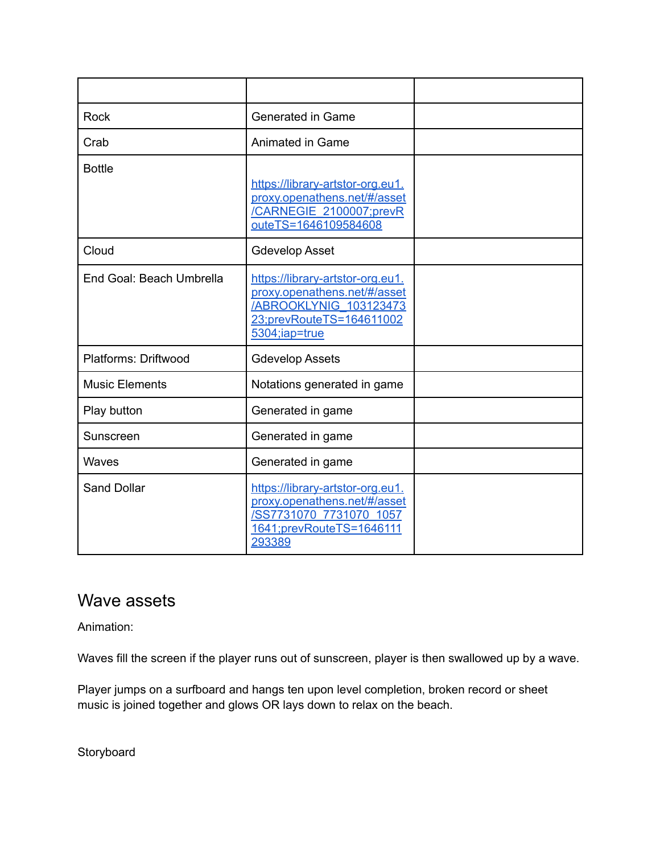| <b>Rock</b>              | <b>Generated in Game</b>                                                                                                                        |  |
|--------------------------|-------------------------------------------------------------------------------------------------------------------------------------------------|--|
| Crab                     | Animated in Game                                                                                                                                |  |
| <b>Bottle</b>            | https://library-artstor-org.eu1.<br>proxy.openathens.net/#/asset<br>/CARNEGIE 2100007;prevR<br>outeTS=1646109584608                             |  |
| Cloud                    | <b>Gdevelop Asset</b>                                                                                                                           |  |
| End Goal: Beach Umbrella | https://library-artstor-org.eu1.<br>proxy.openathens.net/#/asset<br><b>/ABROOKLYNIG 103123473</b><br>23;prevRouteTS=164611002<br>5304; iap=true |  |
| Platforms: Driftwood     | <b>Gdevelop Assets</b>                                                                                                                          |  |
| <b>Music Elements</b>    | Notations generated in game                                                                                                                     |  |
| Play button              | Generated in game                                                                                                                               |  |
| Sunscreen                | Generated in game                                                                                                                               |  |
| Waves                    | Generated in game                                                                                                                               |  |
| <b>Sand Dollar</b>       | https://library-artstor-org.eu1.<br>proxy.openathens.net/#/asset<br>/SS7731070 7731070 1057<br>1641;prevRouteTS=1646111<br>293389               |  |

## Wave assets

Animation:

Waves fill the screen if the player runs out of sunscreen, player is then swallowed up by a wave.

Player jumps on a surfboard and hangs ten upon level completion, broken record or sheet music is joined together and glows OR lays down to relax on the beach.

**Storyboard**